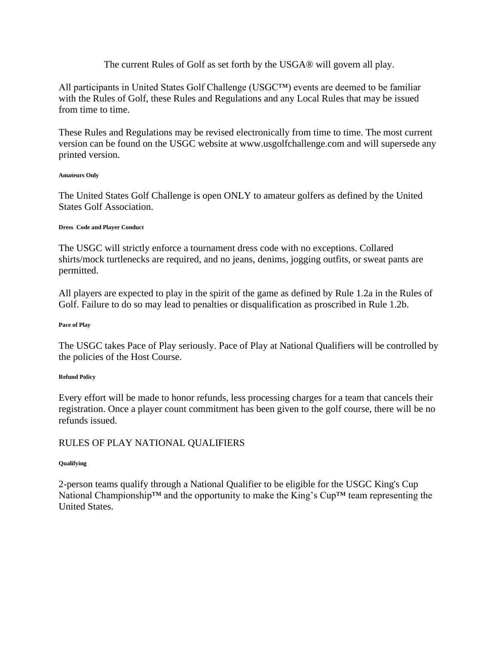## The current Rules of Golf as set forth by the USGA® will govern all play.

All participants in United States Golf Challenge (USGC™) events are deemed to be familiar with the Rules of Golf, these Rules and Regulations and any Local Rules that may be issued from time to time.

These Rules and Regulations may be revised electronically from time to time. The most current version can be found on the USGC website at www.usgolfchallenge.com and will supersede any printed version.

### **Amateurs Only**

The United States Golf Challenge is open ONLY to amateur golfers as defined by the United States Golf Association.

### **Dress Code and Player Conduct**

The USGC will strictly enforce a tournament dress code with no exceptions. Collared shirts/mock turtlenecks are required, and no jeans, denims, jogging outfits, or sweat pants are permitted.

All players are expected to play in the spirit of the game as defined by Rule 1.2a in the Rules of Golf. Failure to do so may lead to penalties or disqualification as proscribed in Rule 1.2b.

#### **Pace of Play**

The USGC takes Pace of Play seriously. Pace of Play at National Qualifiers will be controlled by the policies of the Host Course.

## **Refund Policy**

Every effort will be made to honor refunds, less processing charges for a team that cancels their registration. Once a player count commitment has been given to the golf course, there will be no refunds issued.

# RULES OF PLAY NATIONAL QUALIFIERS

#### **Qualifying**

2-person teams qualify through a National Qualifier to be eligible for the USGC King's Cup National Championship™ and the opportunity to make the King's Cup™ team representing the United States.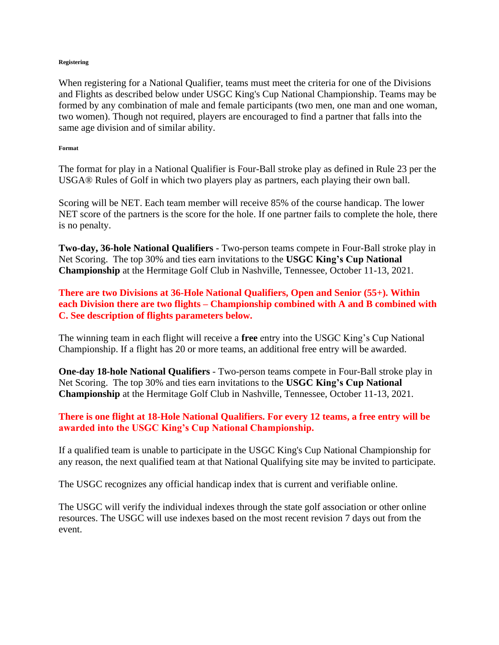#### **Registering**

When registering for a National Qualifier, teams must meet the criteria for one of the Divisions and Flights as described below under USGC King's Cup National Championship. Teams may be formed by any combination of male and female participants (two men, one man and one woman, two women). Though not required, players are encouraged to find a partner that falls into the same age division and of similar ability.

#### **Format**

The format for play in a National Qualifier is Four-Ball stroke play as defined in Rule 23 per the USGA® Rules of Golf in which two players play as partners, each playing their own ball.

Scoring will be NET. Each team member will receive 85% of the course handicap. The lower NET score of the partners is the score for the hole. If one partner fails to complete the hole, there is no penalty.

**Two-day, 36-hole National Qualifiers** - Two-person teams compete in Four-Ball stroke play in Net Scoring. The top 30% and ties earn invitations to the **USGC King's Cup National Championship** at the Hermitage Golf Club in Nashville, Tennessee, October 11-13, 2021.

**There are two Divisions at 36-Hole National Qualifiers, Open and Senior (55+). Within each Division there are two flights – Championship combined with A and B combined with C. See description of flights parameters below.**

The winning team in each flight will receive a **free** entry into the USGC King's Cup National Championship. If a flight has 20 or more teams, an additional free entry will be awarded.

**One-day 18-hole National Qualifiers** - Two-person teams compete in Four-Ball stroke play in Net Scoring. The top 30% and ties earn invitations to the **USGC King's Cup National Championship** at the Hermitage Golf Club in Nashville, Tennessee, October 11-13, 2021.

# **There is one flight at 18-Hole National Qualifiers. For every 12 teams, a free entry will be awarded into the USGC King's Cup National Championship.**

If a qualified team is unable to participate in the USGC King's Cup National Championship for any reason, the next qualified team at that National Qualifying site may be invited to participate.

The USGC recognizes any official handicap index that is current and verifiable online.

The USGC will verify the individual indexes through the state golf association or other online resources. The USGC will use indexes based on the most recent revision 7 days out from the event.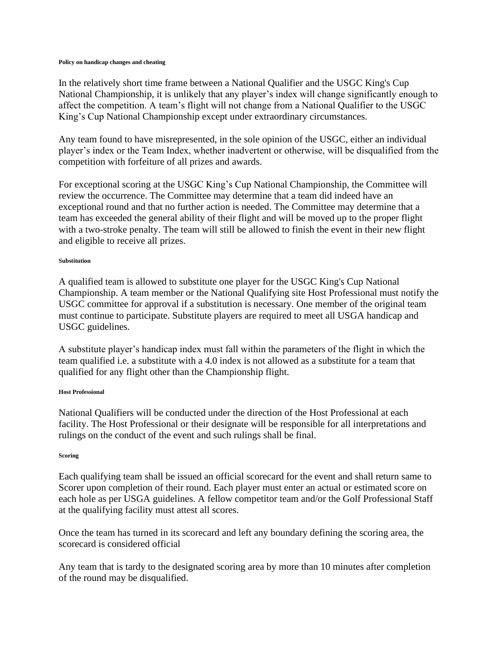#### **Policy on handicap changes and cheating**

In the relatively short time frame between a National Qualifier and the USGC King's Cup National Championship, it is unlikely that any player's index will change significantly enough to affect the competition. A team's flight will not change from a National Qualifier to the USGC King's Cup National Championship except under extraordinary circumstances.

Any team found to have misrepresented, in the sole opinion of the USGC, either an individual player's index or the Team Index, whether inadvertent or otherwise, will be disqualified from the competition with forfeiture of all prizes and awards.

For exceptional scoring at the USGC King's Cup National Championship, the Committee will review the occurrence. The Committee may determine that a team did indeed have an exceptional round and that no further action is needed. The Committee may determine that a team has exceeded the general ability of their flight and will be moved up to the proper flight with a two-stroke penalty. The team will still be allowed to finish the event in their new flight and eligible to receive all prizes.

#### **Substitution**

A qualified team is allowed to substitute one player for the USGC King's Cup National Championship. A team member or the National Qualifying site Host Professional must notify the USGC committee for approval if a substitution is necessary. One member of the original team must continue to participate. Substitute players are required to meet all USGA handicap and USGC guidelines.

A substitute player's handicap index must fall within the parameters of the flight in which the team qualified i.e. a substitute with a 4.0 index is not allowed as a substitute for a team that qualified for any flight other than the Championship flight.

#### **Host Professional**

National Qualifiers will be conducted under the direction of the Host Professional at each facility. The Host Professional or their designate will be responsible for all interpretations and rulings on the conduct of the event and such rulings shall be final.

#### **Scoring**

Each qualifying team shall be issued an official scorecard for the event and shall return same to Scorer upon completion of their round. Each player must enter an actual or estimated score on each hole as per USGA guidelines. A fellow competitor team and/or the Golf Professional Staff at the qualifying facility must attest all scores.

Once the team has turned in its scorecard and left any boundary defining the scoring area, the scorecard is considered official

Any team that is tardy to the designated scoring area by more than 10 minutes after completion of the round may be disqualified.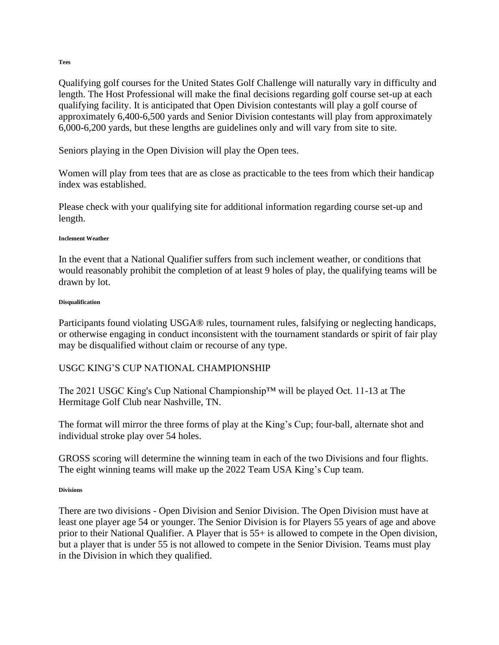Qualifying golf courses for the United States Golf Challenge will naturally vary in difficulty and length. The Host Professional will make the final decisions regarding golf course set-up at each qualifying facility. It is anticipated that Open Division contestants will play a golf course of approximately 6,400-6,500 yards and Senior Division contestants will play from approximately 6,000-6,200 yards, but these lengths are guidelines only and will vary from site to site.

Seniors playing in the Open Division will play the Open tees.

Women will play from tees that are as close as practicable to the tees from which their handicap index was established.

Please check with your qualifying site for additional information regarding course set-up and length.

#### **Inclement Weather**

In the event that a National Qualifier suffers from such inclement weather, or conditions that would reasonably prohibit the completion of at least 9 holes of play, the qualifying teams will be drawn by lot.

#### **Disqualification**

Participants found violating USGA® rules, tournament rules, falsifying or neglecting handicaps, or otherwise engaging in conduct inconsistent with the tournament standards or spirit of fair play may be disqualified without claim or recourse of any type.

## USGC KING'S CUP NATIONAL CHAMPIONSHIP

The 2021 USGC King's Cup National Championship™ will be played Oct. 11-13 at The Hermitage Golf Club near Nashville, TN.

The format will mirror the three forms of play at the King's Cup; four-ball, alternate shot and individual stroke play over 54 holes.

GROSS scoring will determine the winning team in each of the two Divisions and four flights. The eight winning teams will make up the 2022 Team USA King's Cup team.

#### **Divisions**

There are two divisions - Open Division and Senior Division. The Open Division must have at least one player age 54 or younger. The Senior Division is for Players 55 years of age and above prior to their National Qualifier. A Player that is 55+ is allowed to compete in the Open division, but a player that is under 55 is not allowed to compete in the Senior Division. Teams must play in the Division in which they qualified.

**Tees**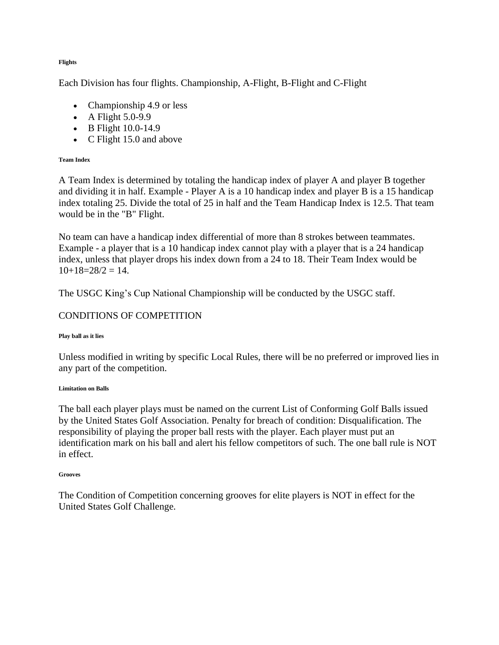**Flights**

Each Division has four flights. Championship, A-Flight, B-Flight and C-Flight

- Championship 4.9 or less
- A Flight  $5.0-9.9$
- B Flight 10.0-14.9
- C Flight 15.0 and above

## **Team Index**

A Team Index is determined by totaling the handicap index of player A and player B together and dividing it in half. Example - Player A is a 10 handicap index and player B is a 15 handicap index totaling 25. Divide the total of 25 in half and the Team Handicap Index is 12.5. That team would be in the "B" Flight.

No team can have a handicap index differential of more than 8 strokes between teammates. Example - a player that is a 10 handicap index cannot play with a player that is a 24 handicap index, unless that player drops his index down from a 24 to 18. Their Team Index would be  $10+18=28/2=14$ .

The USGC King's Cup National Championship will be conducted by the USGC staff.

# CONDITIONS OF COMPETITION

## **Play ball as it lies**

Unless modified in writing by specific Local Rules, there will be no preferred or improved lies in any part of the competition.

## **Limitation on Balls**

The ball each player plays must be named on the current List of Conforming Golf Balls issued by the United States Golf Association. Penalty for breach of condition: Disqualification. The responsibility of playing the proper ball rests with the player. Each player must put an identification mark on his ball and alert his fellow competitors of such. The one ball rule is NOT in effect.

## **Grooves**

The Condition of Competition concerning grooves for elite players is NOT in effect for the United States Golf Challenge.